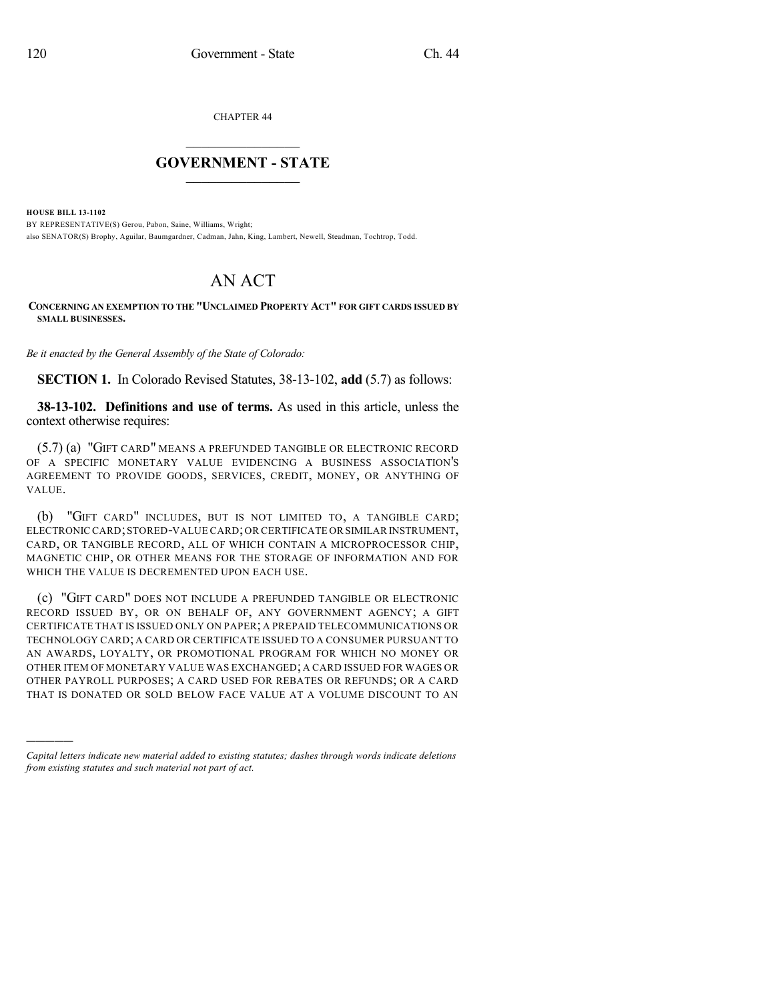CHAPTER 44

## $\mathcal{L}_\text{max}$  . The set of the set of the set of the set of the set of the set of the set of the set of the set of the set of the set of the set of the set of the set of the set of the set of the set of the set of the set **GOVERNMENT - STATE**  $\_$   $\_$

**HOUSE BILL 13-1102**

)))))

BY REPRESENTATIVE(S) Gerou, Pabon, Saine, Williams, Wright; also SENATOR(S) Brophy, Aguilar, Baumgardner, Cadman, Jahn, King, Lambert, Newell, Steadman, Tochtrop, Todd.

## AN ACT

**CONCERNING AN EXEMPTION TO THE "UNCLAIMED PROPERTY ACT" FOR GIFT CARDS ISSUED BY SMALL BUSINESSES.**

*Be it enacted by the General Assembly of the State of Colorado:*

**SECTION 1.** In Colorado Revised Statutes, 38-13-102, **add** (5.7) as follows:

**38-13-102. Definitions and use of terms.** As used in this article, unless the context otherwise requires:

(5.7) (a) "GIFT CARD" MEANS A PREFUNDED TANGIBLE OR ELECTRONIC RECORD OF A SPECIFIC MONETARY VALUE EVIDENCING A BUSINESS ASSOCIATION'S AGREEMENT TO PROVIDE GOODS, SERVICES, CREDIT, MONEY, OR ANYTHING OF VALUE.

(b) "GIFT CARD" INCLUDES, BUT IS NOT LIMITED TO, A TANGIBLE CARD; ELECTRONIC CARD; STORED-VALUE CARD; OR CERTIFICATE OR SIMILAR INSTRUMENT, CARD, OR TANGIBLE RECORD, ALL OF WHICH CONTAIN A MICROPROCESSOR CHIP, MAGNETIC CHIP, OR OTHER MEANS FOR THE STORAGE OF INFORMATION AND FOR WHICH THE VALUE IS DECREMENTED UPON EACH USE.

(c) "GIFT CARD" DOES NOT INCLUDE A PREFUNDED TANGIBLE OR ELECTRONIC RECORD ISSUED BY, OR ON BEHALF OF, ANY GOVERNMENT AGENCY; A GIFT CERTIFICATE THAT IS ISSUED ONLY ON PAPER; A PREPAID TELECOMMUNICATIONS OR TECHNOLOGY CARD; A CARD OR CERTIFICATE ISSUED TO A CONSUMER PURSUANT TO AN AWARDS, LOYALTY, OR PROMOTIONAL PROGRAM FOR WHICH NO MONEY OR OTHER ITEM OF MONETARY VALUE WAS EXCHANGED; A CARD ISSUED FOR WAGES OR OTHER PAYROLL PURPOSES; A CARD USED FOR REBATES OR REFUNDS; OR A CARD THAT IS DONATED OR SOLD BELOW FACE VALUE AT A VOLUME DISCOUNT TO AN

*Capital letters indicate new material added to existing statutes; dashes through words indicate deletions from existing statutes and such material not part of act.*